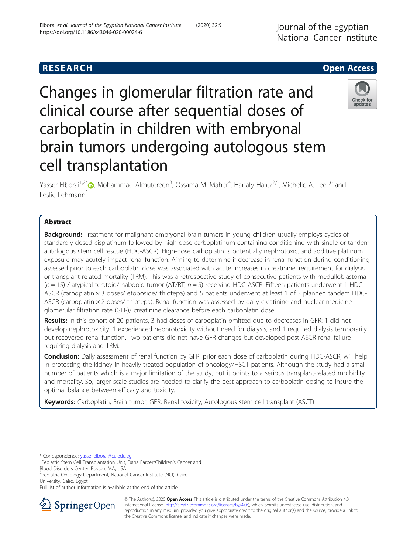# **RESEARCH CHEAR CHEAR CHEAR CHEAR CHEAR CHEAR CHEAR CHEAR CHEAR CHEAR CHEAR CHEAR CHEAR CHEAR CHEAR CHEAR CHEAR**

# Changes in glomerular filtration rate and clinical course after sequential doses of carboplatin in children with embryonal brain tumors undergoing autologous stem cell transplantation

Yasser Elborai<sup>1,2[\\*](http://orcid.org/0000-0002-5528-0025)</sup>®, Mohammad Almutereen<sup>3</sup>, Ossama M. Maher<sup>4</sup>, Hanafy Hafez<sup>2,5</sup>, Michelle A. Lee<sup>1,6</sup> and Leslie Lehmann<sup>1</sup>

# Abstract

**Background:** Treatment for malignant embryonal brain tumors in young children usually employs cycles of standardly dosed cisplatinum followed by high-dose carboplatinum-containing conditioning with single or tandem autologous stem cell rescue (HDC-ASCR). High-dose carboplatin is potentially nephrotoxic, and additive platinum exposure may acutely impact renal function. Aiming to determine if decrease in renal function during conditioning assessed prior to each carboplatin dose was associated with acute increases in creatinine, requirement for dialysis or transplant-related mortality (TRM). This was a retrospective study of consecutive patients with medulloblastoma  $(n = 15)$  / atypical teratoid/rhabdoid tumor (AT/RT,  $n = 5$ ) receiving HDC-ASCR. Fifteen patients underwent 1 HDC-ASCR (carboplatin × 3 doses/ etoposide/ thiotepa) and 5 patients underwent at least 1 of 3 planned tandem HDC-ASCR (carboplatin × 2 doses/ thiotepa). Renal function was assessed by daily creatinine and nuclear medicine glomerular filtration rate (GFR)/ creatinine clearance before each carboplatin dose.

Results: In this cohort of 20 patients, 3 had doses of carboplatin omitted due to decreases in GFR: 1 did not develop nephrotoxicity, 1 experienced nephrotoxicity without need for dialysis, and 1 required dialysis temporarily but recovered renal function. Two patients did not have GFR changes but developed post-ASCR renal failure requiring dialysis and TRM.

**Conclusion:** Daily assessment of renal function by GFR, prior each dose of carboplatin during HDC-ASCR, will help in protecting the kidney in heavily treated population of oncology/HSCT patients. Although the study had a small number of patients which is a major limitation of the study, but it points to a serious transplant-related morbidity and mortality. So, larger scale studies are needed to clarify the best approach to carboplatin dosing to insure the optimal balance between efficacy and toxicity.

Keywords: Carboplatin, Brain tumor, GFR, Renal toxicity, Autologous stem cell transplant (ASCT)

\* Correspondence: [yasser.elborai@cu.edu.eg](mailto:yasser.elborai@cu.edu.eg) <sup>1</sup>

<sup>1</sup> Pediatric Stem Cell Transplantation Unit, Dana Farber/Children's Cancer and Blood Disorders Center, Boston, MA, USA

<sup>2</sup> Pediatric Oncology Department, National Cancer Institute (NCI), Cairo University, Cairo, Egypt

Full list of author information is available at the end of the article



© The Author(s). 2020 Open Access This article is distributed under the terms of the Creative Commons Attribution 4.0 International License ([http://creativecommons.org/licenses/by/4.0/\)](http://creativecommons.org/licenses/by/4.0/), which permits unrestricted use, distribution, and reproduction in any medium, provided you give appropriate credit to the original author(s) and the source, provide a link to the Creative Commons license, and indicate if changes were made.



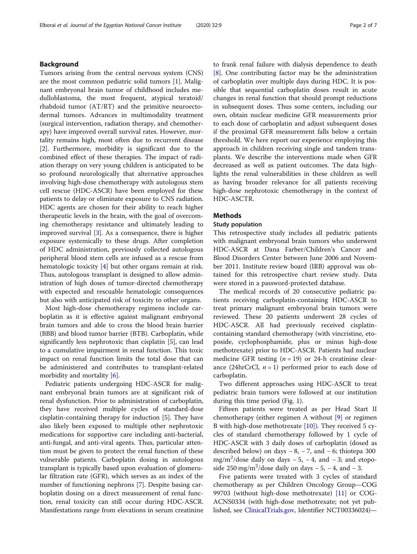# Background

Tumors arising from the central nervous system (CNS) are the most common pediatric solid tumors [[1\]](#page-6-0). Malignant embryonal brain tumor of childhood includes medulloblastoma, the most frequent, atypical teratoid/ rhabdoid tumor (AT/RT) and the primitive neuroectodermal tumors. Advances in multimodality treatment (surgical intervention, radiation therapy, and chemotherapy) have improved overall survival rates. However, mortality remains high, most often due to recurrent disease [[2\]](#page-6-0). Furthermore, morbidity is significant due to the combined effect of these therapies. The impact of radiation therapy on very young children is anticipated to be so profound neurologically that alternative approaches involving high-dose chemotherapy with autologous stem cell rescue (HDC-ASCR) have been employed for these patients to delay or eliminate exposure to CNS radiation. HDC agents are chosen for their ability to reach higher therapeutic levels in the brain, with the goal of overcoming chemotherapy resistance and ultimately leading to improved survival [[3\]](#page-6-0). As a consequence, there is higher exposure systemically to these drugs. After completion of HDC administration, previously collected autologous peripheral blood stem cells are infused as a rescue from hematologic toxicity [[4\]](#page-6-0) but other organs remain at risk. Thus, autologous transplant is designed to allow administration of high doses of tumor-directed chemotherapy with expected and rescuable hematologic consequences but also with anticipated risk of toxicity to other organs.

Most high-dose chemotherapy regimens include carboplatin as it is effective against malignant embryonal brain tumors and able to cross the blood brain barrier (BBB) and blood tumor barrier (BTB). Carboplatin, while significantly less nephrotoxic than cisplatin [\[5](#page-6-0)], can lead to a cumulative impairment in renal function. This toxic impact on renal function limits the total dose that can be administered and contributes to transplant-related morbidity and mortality [[6\]](#page-6-0).

Pediatric patients undergoing HDC-ASCR for malignant embryonal brain tumors are at significant risk of renal dysfunction. Prior to administration of carboplatin, they have received multiple cycles of standard-dose cisplatin-containing therapy for induction [[5\]](#page-6-0). They have also likely been exposed to multiple other nephrotoxic medications for supportive care including anti-bacterial, anti-fungal, and anti-viral agents. Thus, particular attention must be given to protect the renal function of these vulnerable patients. Carboplatin dosing in autologous transplant is typically based upon evaluation of glomerular filtration rate (GFR), which serves as an index of the number of functioning nephrons [\[7\]](#page-6-0). Despite basing carboplatin dosing on a direct measurement of renal function, renal toxicity can still occur during HDC-ASCR. Manifestations range from elevations in serum creatinine to frank renal failure with dialysis dependence to death [[8\]](#page-6-0). One contributing factor may be the administration of carboplatin over multiple days during HDC. It is possible that sequential carboplatin doses result in acute changes in renal function that should prompt reductions in subsequent doses. Thus some centers, including our own, obtain nuclear medicine GFR measurements prior to each dose of carboplatin and adjust subsequent doses if the proximal GFR measurement falls below a certain threshold. We here report our experience employing this approach in children receiving single and tandem transplants. We describe the interventions made when GFR decreased as well as patient outcomes. The data highlights the renal vulnerabilities in these children as well as having broader relevance for all patients receiving high-dose nephrotoxic chemotherapy in the context of HDC-ASCTR.

# Methods

# Study population

This retrospective study includes all pediatric patients with malignant embryonal brain tumors who underwent HDC-ASCR at Dana Farber/Children's Cancer and Blood Disorders Center between June 2006 and November 2011. Institute review board (IRB) approval was obtained for this retrospective chart review study. Data were stored in a password-protected database.

The medical records of 20 consecutive pediatric patients receiving carboplatin-containing HDC-ASCR to treat primary malignant embryonal brain tumors were reviewed. These 20 patients underwent 28 cycles of HDC-ASCR. All had previously received cisplatincontaining standard chemotherapy (with vincristine, etoposide, cyclophosphamide, plus or minus high-dose methotrexate) prior to HDC-ASCR. Patients had nuclear medicine GFR testing  $(n = 19)$  or 24-h creatinine clearance (24hrCrCl,  $n = 1$ ) performed prior to each dose of carboplatin.

Two different approaches using HDC-ASCR to treat pediatric brain tumors were followed at our institution during this time period (Fig. [1](#page-2-0)).

Fifteen patients were treated as per Head Start II chemotherapy (either regimen A without [\[9](#page-6-0)] or regimen B with high-dose methotrexate  $[10]$  $[10]$ ). They received 5 cycles of standard chemotherapy followed by 1 cycle of HDC-ASCR with 3 daily doses of carboplatin (dosed as described below) on days  $-8$ ,  $-7$ , and  $-6$ ; thiotepa 300 mg/m<sup>2</sup>/dose daily on days  $-5$ ,  $-4$ , and  $-3$ ; and etoposide 250 mg/m<sup>2</sup>/dose daily on days  $-5$ ,  $-4$ , and  $-3$ .

Five patients were treated with 3 cycles of standard chemotherapy as per Children Oncology Group—COG 99703 (without high-dose methotrexate) [[11](#page-6-0)] or COG-ACNS0334 (with high-dose methotrexate; not yet published, see [ClinicalTrials.gov,](http://clinicaltrials.gov) Identifier NCT00336024)—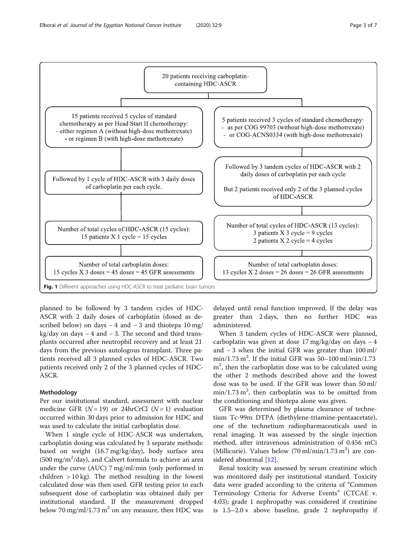<span id="page-2-0"></span>

planned to be followed by 3 tandem cycles of HDC-ASCR with 2 daily doses of carboplatin (dosed as described below) on days  $-4$  and  $-3$  and thiotepa 10 mg/ kg/day on days  $-4$  and  $-3$ . The second and third transplants occurred after neutrophil recovery and at least 21 days from the previous autologous transplant. Three patients received all 3 planned cycles of HDC-ASCR. Two patients received only 2 of the 3 planned cycles of HDC-ASCR.

# Methodology

Per our institutional standard, assessment with nuclear medicine GFR  $(N = 19)$  or 24hrCrCl  $(N = 1)$  evaluation occurred within 30 days prior to admission for HDC and was used to calculate the initial carboplatin dose.

When 1 single cycle of HDC-ASCR was undertaken, carboplatin dosing was calculated by 3 separate methods: based on weight (16.7 mg/kg/day), body surface area  $(500 \text{ mg/m}^2/\text{day})$ , and Calvert formula to achieve an area under the curve (AUC) 7 mg/ml/min (only performed in children > 10 kg). The method resulting in the lowest calculated dose was then used. GFR testing prior to each subsequent dose of carboplatin was obtained daily per institutional standard. If the measurement dropped below 70 mg/ml/1.73 m<sup>2</sup> on any measure, then HDC was

delayed until renal function improved. If the delay was greater than 2 days, then no further HDC was administered.

When 3 tandem cycles of HDC-ASCR were planned, carboplatin was given at dose 17 mg/kg/day on days − 4 and − 3 when the initial GFR was greater than 100 ml/  $min/1.73$  m<sup>2</sup>. If the initial GFR was 50-100 ml/min/1.73 m<sup>2</sup>, then the carboplatin dose was to be calculated using the other 2 methods described above and the lowest dose was to be used. If the GFR was lower than 50 ml/  $min/1.73$  m<sup>2</sup>, then carboplatin was to be omitted from the conditioning and thiotepa alone was given.

GFR was determined by plasma clearance of technetium Tc-99m DTPA (diethylene-triamine-pentaacetate), one of the technetium radiopharmaceuticals used in renal imaging. It was assessed by the single injection method, after intravenous administration of 0.456 mCi (Millicurie). Values below (70 ml/min/1.73 m<sup>2</sup>) are considered abnormal [[12\]](#page-6-0).

Renal toxicity was assessed by serum creatinine which was monitored daily per institutional standard. Toxicity data were graded according to the criteria of "Common Terminology Criteria for Adverse Events" (CTCAE v. 4.03); grade 1 nephropathy was considered if creatinine is  $1.5-2.0 \times$  above baseline, grade 2 nephropathy if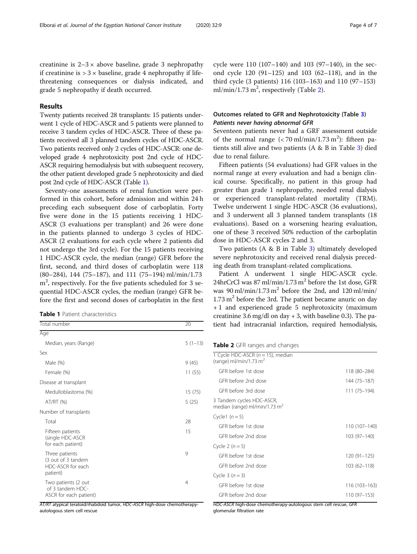creatinine is  $2-3 \times$  above baseline, grade 3 nephropathy if creatinine is  $> 3 \times$  baseline, grade 4 nephropathy if lifethreatening consequences or dialysis indicated, and grade 5 nephropathy if death occurred.

# Results

Twenty patients received 28 transplants: 15 patients underwent 1 cycle of HDC-ASCR and 5 patients were planned to receive 3 tandem cycles of HDC-ASCR. Three of these patients received all 3 planned tandem cycles of HDC-ASCR. Two patients received only 2 cycles of HDC-ASCR: one developed grade 4 nephrotoxicity post 2nd cycle of HDC-ASCR requiring hemodialysis but with subsequent recovery, the other patient developed grade 5 nephrotoxicity and died post 2nd cycle of HDC-ASCR (Table 1).

Seventy-one assessments of renal function were performed in this cohort, before admission and within 24 h preceding each subsequent dose of carboplatin. Forty five were done in the 15 patients receiving 1 HDC-ASCR (3 evaluations per transplant) and 26 were done in the patients planned to undergo 3 cycles of HDC-ASCR (2 evaluations for each cycle where 2 patients did not undergo the 3rd cycle). For the 15 patients receiving 1 HDC-ASCR cycle, the median (range) GFR before the first, second, and third doses of carboplatin were 118 (80–284), 144 (75–187), and 111 (75–194) ml/min/1.73 m<sup>2</sup>, respectively. For the five patients scheduled for 3 sequential HDC-ASCR cycles, the median (range) GFR before the first and second doses of carboplatin in the first

|  | <b>Table 1</b> Patient characteristics |
|--|----------------------------------------|
|--|----------------------------------------|

| Total number                                                          |           |  |  |  |  |
|-----------------------------------------------------------------------|-----------|--|--|--|--|
| Age                                                                   |           |  |  |  |  |
| Median, years (Range)                                                 | $5(1-13)$ |  |  |  |  |
| Sex                                                                   |           |  |  |  |  |
| Male $(\%)$                                                           | 9(45)     |  |  |  |  |
| Female (%)                                                            | 11(55)    |  |  |  |  |
| Disease at transplant                                                 |           |  |  |  |  |
| Medulloblastoma (%)                                                   | 15 (75)   |  |  |  |  |
| AT/RT (%)                                                             | 5(25)     |  |  |  |  |
| Number of transplants                                                 |           |  |  |  |  |
| Total                                                                 | 28        |  |  |  |  |
| Fifteen patients<br>(single HDC-ASCR<br>for each patient)             | 15        |  |  |  |  |
| Three patients<br>(3 out of 3 tandem<br>HDC-ASCR for each<br>patient) | 9         |  |  |  |  |
| Two patients (2 out<br>of 3 tandem HDC-<br>ASCR for each patient)     | 4         |  |  |  |  |

AT/RT atypical teratoid/rhabdoid tumor, HDC-ASCR high-dose chemotherapyautologous stem cell rescue

cycle were 110 (107–140) and 103 (97–140), in the second cycle 120 (91–125) and 103 (62–118), and in the third cycle (3 patients) 116 (103–163) and 110 (97–153)  $ml/min/1.73 m<sup>2</sup>$ , respectively (Table 2).

# Outcomes related to GFR and Nephrotoxicity (Table [3](#page-4-0)) Patients never having abnormal GFR

Seventeen patients never had a GRF assessment outside of the normal range  $(< 70 \text{ ml/min}/1.73 \text{ m}^2)$ : fifteen patients still alive and two patients (A & B in Table [3\)](#page-4-0) died due to renal failure.

Fifteen patients (54 evaluations) had GFR values in the normal range at every evaluation and had a benign clinical course. Specifically, no patient in this group had greater than grade 1 nephropathy, needed renal dialysis or experienced transplant-related mortality (TRM). Twelve underwent 1 single HDC-ASCR (36 evaluations), and 3 underwent all 3 planned tandem transplants (18 evaluations). Based on a worsening hearing evaluation, one of these 3 received 50% reduction of the carboplatin dose in HDC-ASCR cycles 2 and 3.

Two patients (A & B in Table [3\)](#page-4-0) ultimately developed severe nephrotoxicity and received renal dialysis preceding death from transplant-related complications.

Patient A underwent 1 single HDC-ASCR cycle. 24hrCrCl was 87 ml/min/1.73 m<sup>2</sup> before the 1st dose, GFR was 90 ml/min/1.73 m<sup>2</sup> before the 2nd, and 120 ml/min/  $1.73 \text{ m}^2$  before the 3rd. The patient became anuric on day + 1 and experienced grade 5 nephrotoxicity (maximum creatinine 3.6 mg/dl on day + 3, with baseline 0.3). The patient had intracranial infarction, required hemodialysis,

| Table 2 GFR ranges and changes |  |  |  |
|--------------------------------|--|--|--|
|--------------------------------|--|--|--|

|                                                                  | 1 Cycle HDC-ASCR ( $n = 15$ ), median<br>(range) ml/min/1.73 m <sup>2</sup> |                 |  |  |
|------------------------------------------------------------------|-----------------------------------------------------------------------------|-----------------|--|--|
|                                                                  | GER before 1st dose                                                         | 118 (80-284)    |  |  |
|                                                                  | GFR before 2nd dose                                                         | 144 (75–187)    |  |  |
|                                                                  | GFR before 3rd dose                                                         | 111 (75–194)    |  |  |
|                                                                  | 3 Tandem cycles HDC-ASCR,<br>median (range) ml/min/1.73 m <sup>2</sup>      |                 |  |  |
|                                                                  | Cycle1 $(n=5)$                                                              |                 |  |  |
|                                                                  | GFR before 1st dose                                                         | 110 (107-140)   |  |  |
|                                                                  | GER before 2nd dose                                                         | 103 (97-140)    |  |  |
|                                                                  | Cycle 2 ( $n = 5$ )                                                         |                 |  |  |
|                                                                  | GFR before 1st dose                                                         | $120(91 - 125)$ |  |  |
|                                                                  | GFR before 2nd dose                                                         | $103(62 - 118)$ |  |  |
|                                                                  | Cycle $3(n=3)$                                                              |                 |  |  |
|                                                                  | GFR before 1st dose                                                         | 116 (103–163)   |  |  |
|                                                                  | GFR before 2nd dose                                                         | 110 (97–153)    |  |  |
| HDC-ASCR high-dose chemotherapy-autologous stem cell rescue, GFR |                                                                             |                 |  |  |

glomerular filtration rate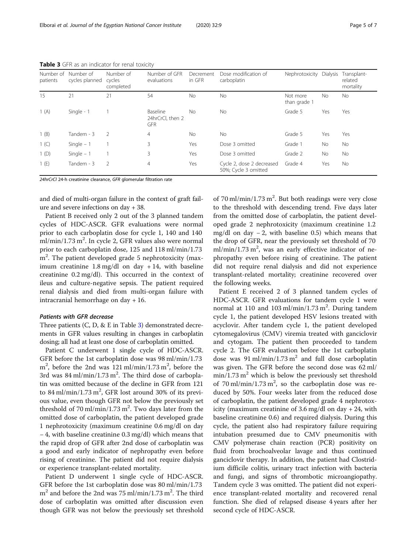| Number of<br>patients | Number of<br>cycles planned | Number of<br>cycles<br>completed | Number of GFR<br>evaluations               | Decrement<br>in GFR | Dose modification of<br>carboplatin               | Nephrotoxicity Dialysis |           | Transplant-<br>related<br>mortality |
|-----------------------|-----------------------------|----------------------------------|--------------------------------------------|---------------------|---------------------------------------------------|-------------------------|-----------|-------------------------------------|
| 15                    | 21                          | 21                               | 54                                         | <b>No</b>           | <b>No</b>                                         | Not more<br>than grade  | <b>No</b> | No                                  |
| 1(A)                  | Single - 1                  |                                  | Baseline<br>24hrCrCl, then 2<br><b>GFR</b> | <b>No</b>           | <b>No</b>                                         | Grade 5                 | Yes       | Yes                                 |
| 1(B)                  | Tandem - 3                  | $\mathcal{P}$                    | $\overline{4}$                             | <b>No</b>           | <b>No</b>                                         | Grade 5                 | Yes       | Yes                                 |
| 1(C)                  | Single $-1$                 |                                  | 3                                          | Yes                 | Dose 3 omitted                                    | Grade <sup>-</sup>      | <b>No</b> | <b>No</b>                           |
| 1(D)                  | Single $-1$                 |                                  | 3                                          | Yes                 | Dose 3 omitted                                    | Grade 2                 | <b>No</b> | <b>No</b>                           |
| 1(E)                  | Tandem - 3                  | $\mathcal{P}$                    | $\overline{4}$                             | Yes                 | Cycle 2, dose 2 decreased<br>50%; Cycle 3 omitted | Grade 4                 | Yes       | <b>No</b>                           |

<span id="page-4-0"></span>Table 3 GFR as an indicator for renal toxicity

24hrCrCl 24-h creatinine clearance, GFR glomerular filtration rate

and died of multi-organ failure in the context of graft failure and severe infections on day + 38.

Patient B received only 2 out of the 3 planned tandem cycles of HDC-ASCR. GFR evaluations were normal prior to each carboplatin dose for cycle 1, 140 and 140 ml/min/1.73 m<sup>2</sup>. In cycle 2, GFR values also were normal prior to each carboplatin dose, 125 and 118 ml/min/1.73 m<sup>2</sup>. The patient developed grade 5 nephrotoxicity (maximum creatinine  $1.8 \text{ mg/dl}$  on day  $+14$ , with baseline creatinine 0.2 mg/dl). This occurred in the context of ileus and culture-negative sepsis. The patient required renal dialysis and died from multi-organ failure with intracranial hemorrhage on day + 16.

### Patients with GFR decrease

Three patients (C, D, & E in Table 3) demonstrated decrements in GFR values resulting in changes in carboplatin dosing; all had at least one dose of carboplatin omitted.

Patient C underwent 1 single cycle of HDC-ASCR. GFR before the 1st carboplatin dose was 98 ml/min/1.73  $m<sup>2</sup>$ , before the 2nd was 121 ml/min/1.73 m<sup>2</sup>, before the 3rd was  $84 \text{ ml/min}/1.73 \text{ m}^2$ . The third dose of carboplatin was omitted because of the decline in GFR from 121 to 84 ml/min/1.73 m<sup>2</sup>, GFR lost around 30% of its previous value, even though GFR not below the previously set threshold of 70 ml/min/1.73 m<sup>2</sup>. Two days later from the omitted dose of carboplatin, the patient developed grade 1 nephrotoxicity (maximum creatinine 0.6 mg/dl on day − 4, with baseline creatinine 0.3 mg/dl) which means that the rapid drop of GFR after 2nd dose of carboplatin was a good and early indicator of nephropathy even before rising of creatinine. The patient did not require dialysis or experience transplant-related mortality.

Patient D underwent 1 single cycle of HDC-ASCR. GFR before the 1st carboplatin dose was 80 ml/min/1.73  $m^2$  and before the 2nd was 75 ml/min/1.73 m<sup>2</sup>. The third dose of carboplatin was omitted after discussion even though GFR was not below the previously set threshold

of 70 ml/min/1.73 m<sup>2</sup>. But both readings were very close to the threshold with descending trend. Five days later from the omitted dose of carboplatin, the patient developed grade 2 nephrotoxicity (maximum creatinine 1.2 mg/dl on day  $-2$ , with baseline 0.5) which means that the drop of GFR, near the previously set threshold of 70  $ml/min/1.73 m<sup>2</sup>$ , was an early effective indicator of nephropathy even before rising of creatinine. The patient did not require renal dialysis and did not experience transplant-related mortality; creatinine recovered over the following weeks.

Patient E received 2 of 3 planned tandem cycles of HDC-ASCR. GFR evaluations for tandem cycle 1 were normal at 110 and 103 ml/min/1.73  $m^2$ . During tandem cycle 1, the patient developed HSV lesions treated with acyclovir. After tandem cycle 1, the patient developed cytomegalovirus (CMV) viremia treated with ganciclovir and cytogam. The patient then proceeded to tandem cycle 2. The GFR evaluation before the 1st carboplatin dose was 91 ml/min/1.73  $m^2$  and full dose carboplatin was given. The GFR before the second dose was 62 ml/  $min/1.73$  m<sup>2</sup> which is below the previously set threshold of 70 ml/min/1.73 m<sup>2</sup>, so the carboplatin dose was reduced by 50%. Four weeks later from the reduced dose of carboplatin, the patient developed grade 4 nephrotoxicity (maximum creatinine of 3.6 mg/dl on day + 24, with baseline creatinine 0.6) and required dialysis. During this cycle, the patient also had respiratory failure requiring intubation presumed due to CMV pneumonitis with CMV polymerase chain reaction (PCR) positivity on fluid from brochoalveolar lavage and thus continued ganciclovir therapy. In addition, the patient had Clostridium difficile colitis, urinary tract infection with bacteria and fungi, and signs of thrombotic microangiopathy. Tandem cycle 3 was omitted. The patient did not experience transplant-related mortality and recovered renal function. She died of relapsed disease 4 years after her second cycle of HDC-ASCR.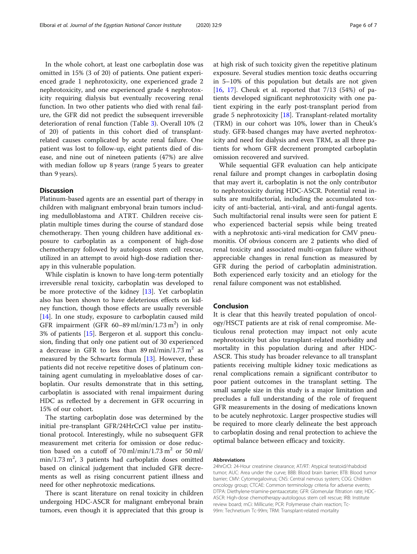In the whole cohort, at least one carboplatin dose was omitted in 15% (3 of 20) of patients. One patient experienced grade 1 nephrotoxicity, one experienced grade 2 nephrotoxicity, and one experienced grade 4 nephrotoxicity requiring dialysis but eventually recovering renal function. In two other patients who died with renal failure, the GFR did not predict the subsequent irreversible deterioration of renal function (Table [3](#page-4-0)). Overall 10% (2 of 20) of patients in this cohort died of transplantrelated causes complicated by acute renal failure. One patient was lost to follow-up, eight patients died of disease, and nine out of nineteen patients (47%) are alive with median follow up 8 years (range 5 years to greater than 9 years).

# **Discussion**

Platinum-based agents are an essential part of therapy in children with malignant embryonal brain tumors including medulloblastoma and ATRT. Children receive cisplatin multiple times during the course of standard dose chemotherapy. Then young children have additional exposure to carboplatin as a component of high-dose chemotherapy followed by autologous stem cell rescue, utilized in an attempt to avoid high-dose radiation therapy in this vulnerable population.

While cisplatin is known to have long-term potentially irreversible renal toxicity, carboplatin was developed to be more protective of the kidney [[13](#page-6-0)]. Yet carboplatin also has been shown to have deleterious effects on kidney function, though those effects are usually reversible [[14\]](#page-6-0). In one study, exposure to carboplatin caused mild GFR impairment (GFR  $60-89$  ml/min/1.73 m<sup>2</sup>) in only 3% of patients [[15](#page-6-0)]. Bergeron et al. support this conclusion, finding that only one patient out of 30 experienced a decrease in GFR to less than  $89 \text{ ml/min}/1.73 \text{ m}^2$  as measured by the Schwartz formula [[13](#page-6-0)]. However, these patients did not receive repetitive doses of platinum containing agent cumulating in myeloablative doses of carboplatin. Our results demonstrate that in this setting, carboplatin is associated with renal impairment during HDC as reflected by a decrement in GFR occurring in 15% of our cohort.

The starting carboplatin dose was determined by the initial pre-transplant GFR/24HrCrCl value per institutional protocol. Interestingly, while no subsequent GFR measurement met criteria for omission or dose reduction based on a cutoff of  $70 \text{ ml/min}/1.73 \text{ m}^2$  or  $50 \text{ ml}$ /  $min/1.73$   $m^2$ , 3 patients had carboplatin doses omitted based on clinical judgement that included GFR decrements as well as rising concurrent patient illness and need for other nephrotoxic medications.

There is scant literature on renal toxicity in children undergoing HDC-ASCR for malignant embryonal brain tumors, even though it is appreciated that this group is at high risk of such toxicity given the repetitive platinum exposure. Several studies mention toxic deaths occurring in 5–10% of this population but details are not given [[16,](#page-6-0) [17](#page-6-0)]. Cheuk et al. reported that  $7/13$  (54%) of patients developed significant nephrotoxicity with one patient expiring in the early post-transplant period from grade 5 nephrotoxicity [[18\]](#page-6-0). Transplant-related mortality (TRM) in our cohort was 10%, lower than in Cheuk's study. GFR-based changes may have averted nephrotoxicity and need for dialysis and even TRM, as all three patients for whom GFR decrement prompted carboplatin omission recovered and survived.

While sequential GFR evaluation can help anticipate renal failure and prompt changes in carboplatin dosing that may avert it, carboplatin is not the only contributor to nephrotoxicity during HDC-ASCR. Potential renal insults are multifactorial, including the accumulated toxicity of anti-bacterial, anti-viral, and anti-fungal agents. Such multifactorial renal insults were seen for patient E who experienced bacterial sepsis while being treated with a nephrotoxic anti-viral medication for CMV pneumonitis. Of obvious concern are 2 patients who died of renal toxicity and associated multi-organ failure without appreciable changes in renal function as measured by GFR during the period of carboplatin administration. Both experienced early toxicity and an etiology for the renal failure component was not established.

# Conclusion

It is clear that this heavily treated population of oncology/HSCT patients are at risk of renal compromise. Meticulous renal protection may impact not only acute nephrotoxicity but also transplant-related morbidity and mortality in this population during and after HDC-ASCR. This study has broader relevance to all transplant patients receiving multiple kidney toxic medications as renal complications remain a significant contributor to poor patient outcomes in the transplant setting. The small sample size in this study is a major limitation and precludes a full understanding of the role of frequent GFR measurements in the dosing of medications known to be acutely nephrotoxic. Larger prospective studies will be required to more clearly delineate the best approach to carboplatin dosing and renal protection to achieve the optimal balance between efficacy and toxicity.

#### Abbreviations

24hrCrCl: 24-Hour creatinine clearance; AT/RT: Atypical teratoid/rhabdoid tumor; AUC: Area under the curve; BBB: Blood brain barrier; BTB: Blood tumor barrier; CMV: Cytomegalovirus; CNS: Central nervous system; COG: Children oncology group; CTCAE: Common terminology criteria for adverse events; DTPA: Diethylene-triamine-pentaacetate; GFR: Glomerular filtration rate; HDC-ASCR: High-dose chemotherapy-autologous stem cell rescue; IRB: Institute review board; mCi: Millicurie; PCR: Polymerase chain reaction; Tc-99m: Technetium Tc-99m; TRM: Transplant-related mortality